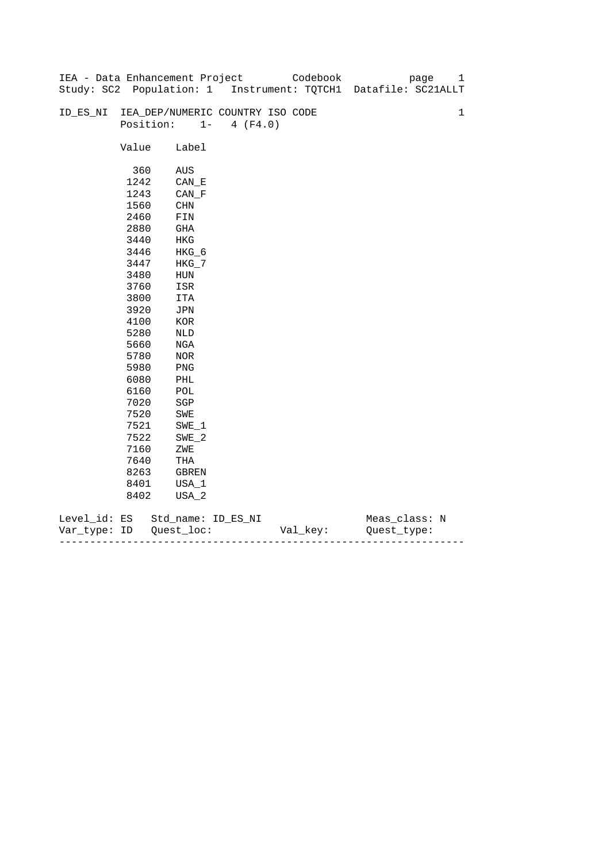|              |       | IEA - Data Enhancement Project   |                   | Codebook | page                                                           | 1           |
|--------------|-------|----------------------------------|-------------------|----------|----------------------------------------------------------------|-------------|
|              |       |                                  |                   |          | Study: SC2 Population: 1 Instrument: TQTCH1 Datafile: SC21ALLT |             |
|              |       |                                  |                   |          |                                                                |             |
| ID_ES_NI     |       | IEA_DEP/NUMERIC COUNTRY ISO CODE |                   |          |                                                                | $\mathbf 1$ |
|              |       | Position:                        | $1 -$<br>4 (F4.0) |          |                                                                |             |
|              |       |                                  |                   |          |                                                                |             |
|              | Value | Label                            |                   |          |                                                                |             |
|              |       |                                  |                   |          |                                                                |             |
|              | 360   | AUS                              |                   |          |                                                                |             |
|              | 1242  | $CAN$ <sub>_</sub> E             |                   |          |                                                                |             |
|              | 1243  | $CAN_F$                          |                   |          |                                                                |             |
|              | 1560  | <b>CHN</b>                       |                   |          |                                                                |             |
|              | 2460  | ${\tt FIN}$                      |                   |          |                                                                |             |
|              | 2880  | GHA                              |                   |          |                                                                |             |
|              | 3440  | HKG                              |                   |          |                                                                |             |
|              | 3446  | HKG_6                            |                   |          |                                                                |             |
|              | 3447  | $HKG_7$                          |                   |          |                                                                |             |
|              | 3480  | HUN                              |                   |          |                                                                |             |
|              | 3760  | ISR                              |                   |          |                                                                |             |
|              | 3800  | ITA                              |                   |          |                                                                |             |
|              | 3920  | JPN                              |                   |          |                                                                |             |
|              | 4100  | $_{\rm KOR}$                     |                   |          |                                                                |             |
|              | 5280  | NLD                              |                   |          |                                                                |             |
|              | 5660  | NGA                              |                   |          |                                                                |             |
|              | 5780  | $_{\rm NOR}$                     |                   |          |                                                                |             |
|              | 5980  | $\mathop{\rm PNG}\nolimits$      |                   |          |                                                                |             |
|              | 6080  | PHL                              |                   |          |                                                                |             |
|              | 6160  | $\mathtt{POL}$                   |                   |          |                                                                |             |
|              | 7020  | $_{\rm SGP}$                     |                   |          |                                                                |             |
|              | 7520  | SWE                              |                   |          |                                                                |             |
|              | 7521  | SWE 1                            |                   |          |                                                                |             |
|              | 7522  | $SWE_2$                          |                   |          |                                                                |             |
|              | 7160  | ZWE                              |                   |          |                                                                |             |
|              | 7640  | THA                              |                   |          |                                                                |             |
|              | 8263  | GBREN                            |                   |          |                                                                |             |
|              | 8401  | USA_1                            |                   |          |                                                                |             |
|              | 8402  | USA_2                            |                   |          |                                                                |             |
| Level_id: ES |       | Std_name: ID_ES_NI               |                   |          | Meas_class: N                                                  |             |

| Var<br>TVDA: | ID | $- -$<br>--- | - |
|--------------|----|--------------|---|
|              |    |              |   |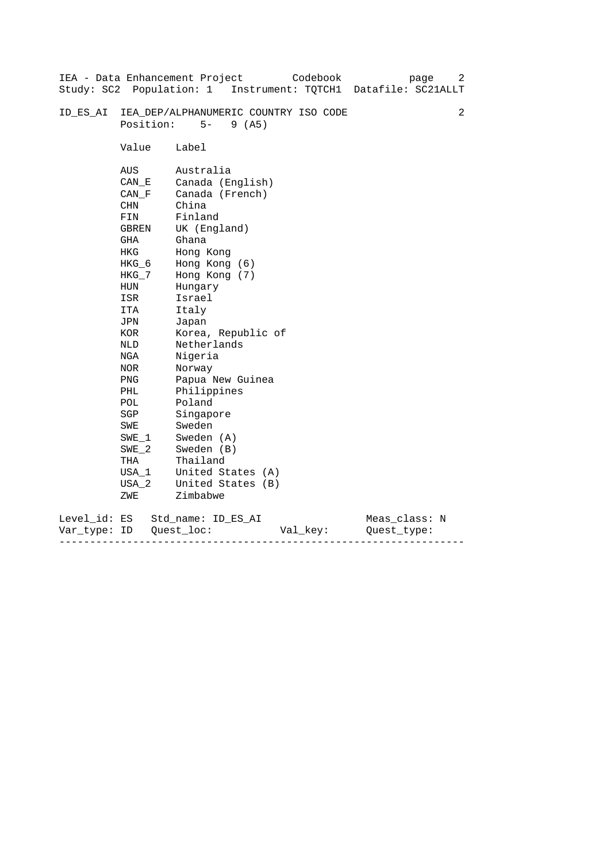|                           |                                                                                                                                                                                                        | Codebook<br>IEA - Data Enhancement Project<br>page<br>Study: SC2 Population: 1 Instrument: TQTCH1 Datafile: SC21ALLT                                                                                                                                                                                                                                      | 2 |
|---------------------------|--------------------------------------------------------------------------------------------------------------------------------------------------------------------------------------------------------|-----------------------------------------------------------------------------------------------------------------------------------------------------------------------------------------------------------------------------------------------------------------------------------------------------------------------------------------------------------|---|
| ID ES AI                  | Position:                                                                                                                                                                                              | IEA_DEP/ALPHANUMERIC COUNTRY ISO CODE<br>$5 -$<br>9(AB)                                                                                                                                                                                                                                                                                                   | 2 |
|                           | Value                                                                                                                                                                                                  | Label                                                                                                                                                                                                                                                                                                                                                     |   |
|                           | AUS<br>CAN E<br>CAN F<br>CHN<br>FIN<br>GBREN<br>GHA<br>HKG<br>$HKG_6$<br>HKG_7<br>HUN<br>ISR<br>ITA<br>JPN<br>KOR<br>NLD<br>NGA<br>NOR<br>PNG<br>PHL<br>POL<br>SGP<br>SWE<br>$SWE_1$<br>$SWE_2$<br>THA | Australia<br>Canada (English)<br>Canada (French)<br>China<br>Finland<br>UK (England)<br>Ghana<br>Hong Kong<br>Hong Kong (6)<br>Hong Kong (7)<br>Hungary<br>Israel<br>Italy<br>Japan<br>Korea, Republic of<br>Netherlands<br>Nigeria<br>Norway<br>Papua New Guinea<br>Philippines<br>Poland<br>Singapore<br>Sweden<br>Sweden (A)<br>Sweden (B)<br>Thailand |   |
|                           | USA 1<br>USA 2                                                                                                                                                                                         | United States (A)<br>United States (B)                                                                                                                                                                                                                                                                                                                    |   |
|                           | ZWE                                                                                                                                                                                                    | Zimbabwe                                                                                                                                                                                                                                                                                                                                                  |   |
| Level_id: ES<br>Var_type: | ID                                                                                                                                                                                                     | Meas_class: N<br>Std name: ID ES AI<br>Quest loc:<br>Val_key:<br>Ouest type:                                                                                                                                                                                                                                                                              |   |

------------------------------------------------------------------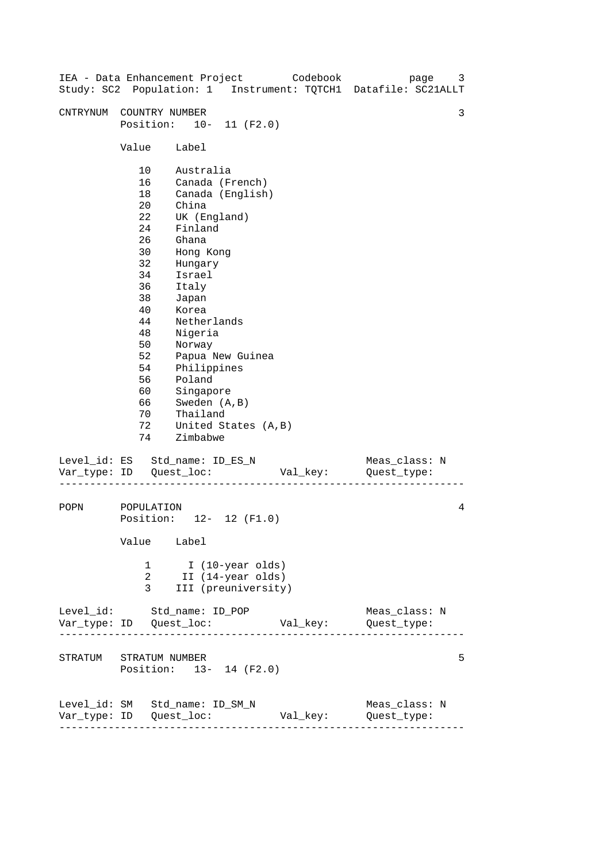| IEA - Data Enhancement Project Codebook<br>Study: SC2 Population: 1 Instrument: TQTCH1 Datafile: SC21ALLT |                                                                                                                                       |                                                                                                                                                                                                                                               |                                                              |          | page                         | 3 |
|-----------------------------------------------------------------------------------------------------------|---------------------------------------------------------------------------------------------------------------------------------------|-----------------------------------------------------------------------------------------------------------------------------------------------------------------------------------------------------------------------------------------------|--------------------------------------------------------------|----------|------------------------------|---|
| CNTRYNUM                                                                                                  | COUNTRY NUMBER<br>Position: 10- 11 (F2.0)                                                                                             |                                                                                                                                                                                                                                               |                                                              |          |                              | 3 |
|                                                                                                           | Value                                                                                                                                 | Label                                                                                                                                                                                                                                         |                                                              |          |                              |   |
|                                                                                                           | 10<br>16<br>18<br>$20 \,$<br>22<br>24<br>26<br>30<br>32<br>34<br>36<br>38<br>40<br>44<br>48<br>50<br>52<br>54<br>56<br>60<br>66<br>70 | Australia<br>Canada (French)<br>China<br>UK (England)<br>Finland<br>Ghana<br>Hong Kong<br>Hungary<br>Israel<br>Italy<br>Japan<br>Korea<br>Netherlands<br>Nigeria<br>Norway<br>Philippines<br>Poland<br>Singapore<br>Sweden (A, B)<br>Thailand | Canada (English)<br>Papua New Guinea                         |          |                              |   |
|                                                                                                           | 72<br>74                                                                                                                              | Zimbabwe                                                                                                                                                                                                                                      | United States (A, B)                                         |          |                              |   |
| Level_id: ES Std_name: ID_ES_N                                                                            |                                                                                                                                       |                                                                                                                                                                                                                                               |                                                              | Val_key: | Meas_class: N<br>Quest_type: |   |
| POPN                                                                                                      | POPULATION<br>Position: 12- 12 (F1.0)<br>Value Label                                                                                  |                                                                                                                                                                                                                                               |                                                              |          |                              | 4 |
|                                                                                                           | 1<br>2<br>3                                                                                                                           |                                                                                                                                                                                                                                               | I (10-year olds)<br>II (14-year olds)<br>III (preuniversity) |          |                              |   |
| Level_id: Std_name: ID_POP                                                                                |                                                                                                                                       |                                                                                                                                                                                                                                               |                                                              |          | Meas_class: N                |   |
| STRATUM STRATUM NUMBER                                                                                    | Position: 13- 14 (F2.0)                                                                                                               |                                                                                                                                                                                                                                               |                                                              |          |                              | 5 |
| Level_id: SM Std_name: ID_SM_N                                                                            | ---------------------                                                                                                                 |                                                                                                                                                                                                                                               |                                                              | Val_key: | Meas_class: N<br>Quest_type: |   |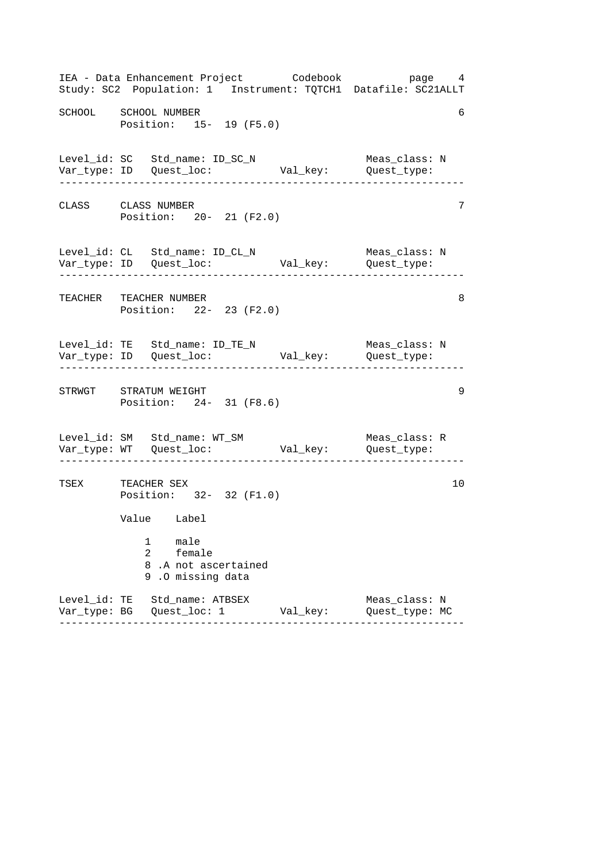|                      | IEA - Data Enhancement Project Codebook bage 4<br>Study: SC2 Population: 1 Instrument: TQTCH1 Datafile: SC21ALLT  |          |                                                        |    |
|----------------------|-------------------------------------------------------------------------------------------------------------------|----------|--------------------------------------------------------|----|
| SCHOOL SCHOOL NUMBER | Position: 15- 19 (F5.0)                                                                                           |          |                                                        | 6  |
|                      | Level_id: SC Std_name: ID_SC_N<br>Var_type: ID Quest_loc:                                                         |          | Meas_class: N<br>Val_key: Quest_type:<br>------------- |    |
| CLASS CLASS NUMBER   | Position: 20- 21 (F2.0)                                                                                           |          |                                                        | 7  |
|                      | Level_id: CL Std_name: ID_CL_N Meas_class: 1<br>Var_type: ID Quest_loc: Val_key: Quest_type:                      |          | Meas_class: N                                          |    |
|                      | TEACHER TEACHER NUMBER<br>Position: 22- 23 (F2.0)                                                                 |          |                                                        | 8  |
|                      | Level_id: TE Std_name: ID_TE_N                                                                                    |          | Meas_class: N<br>_____________________                 |    |
|                      | STRWGT STRATUM WEIGHT<br>Position: 24- 31 (F8.6)                                                                  |          |                                                        | 9  |
|                      | Level_id: SM Std_name: WT_SM                                                                                      |          | Meas_class: R                                          |    |
| TSEX TEACHER SEX     | Position: 32- 32 (F1.0)<br>Value Label<br>male<br>1<br>2<br>female<br>8.A not ascertained<br>.0 missing data<br>9 |          |                                                        | 10 |
|                      | Level_id: TE Std_name: ATBSEX                                                                                     | Val_key: | Meas_class: N<br>Quest_type: MC                        |    |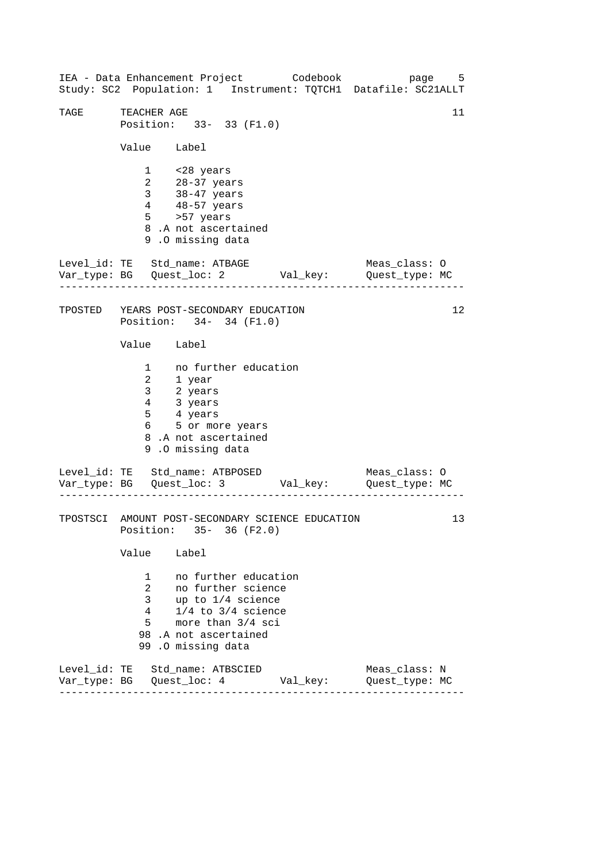------------------------------------------------------------------ ------------------------------------------------------------------ ------------------------------------------------------------------ IEA - Data Enhancement Project Codebook page 5 Study: SC2 Population: 1 Instrument: TQTCH1 Datafile: SC21ALLT TAGE TEACHER AGE 11 Position: 33- 33 (F1.0) Value Label 1 <28 years 2 28-37 years 3 38-47 years 4 48-57 years 5 >57 years 8 .A not ascertained 9 .O missing data Level\_id: TE Std\_name: ATBAGE Meas\_class: O Var\_type: BG Quest\_loc: 2 Val\_key: Quest\_type: MC TPOSTED YEARS POST-SECONDARY EDUCATION Position: 34- 34 (F1.0) Value Label 1 no further education 2 1 year 3 2 years 4 3 years 5 4 years 6 5 or more years 8 .A not ascertained 9 .O missing data Level\_id: TE Std\_name: ATBPOSED Meas\_class: 0 Var\_type: BG Quest\_loc: 3 Val\_key: Quest\_type: MC TPOSTSCI AMOUNT POST-SECONDARY SCIENCE EDUCATION Position: 35- 36 (F2.0) Value Label 1 no further education 2 no further science 3 up to 1/4 science 4 1/4 to 3/4 science 5 more than 3/4 sci 98 .A not ascertained 99 .O missing data Level\_id: TE Std\_name: ATBSCIED Meas\_class: N Var\_type: BG Quest\_loc: 4 Val\_key: Quest\_type: MC 12 13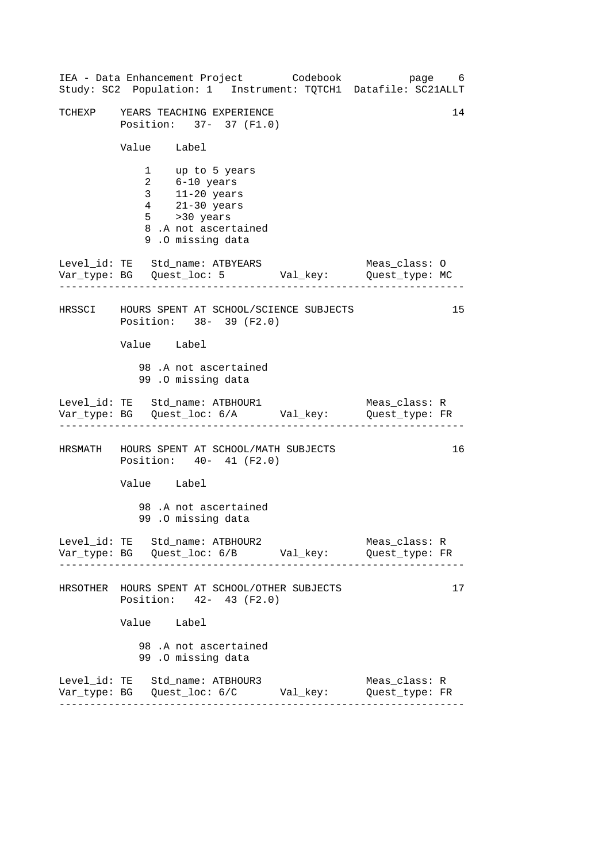| IEA - Data Enhancement Project Codebook<br>Study: SC2 Population: 1 Instrument: TQTCH1 Datafile: SC21ALLT                                        | page 6                          |
|--------------------------------------------------------------------------------------------------------------------------------------------------|---------------------------------|
| TCHEXP YEARS TEACHING EXPERIENCE<br>Position: 37- 37 (F1.0)                                                                                      | 14                              |
| Value Label                                                                                                                                      |                                 |
| 1 up to 5 years<br>2 6-10 years<br>3 11-20 years<br>4 21-30 years<br>$5 \rightarrow 30 \text{ years}$<br>8.A not ascertained<br>9.0 missing data |                                 |
| Level_id: TE Std_name: ATBYEARS<br>Var_type: BG    Quest_loc: 5    Val_key:    Quest_type: MC                                                    | Meas_class: O                   |
| HRSSCI HOURS SPENT AT SCHOOL/SCIENCE SUBJECTS<br>Position: 38- 39 (F2.0)                                                                         | 15                              |
| Value Label                                                                                                                                      |                                 |
| 98.A not ascertained<br>99.0 missing data                                                                                                        |                                 |
| Level_id: TE Std_name: ATBHOUR1 Meas_class: R<br>Var_type: BG Quest_loc: 6/A Val_key: Quest_type: FR                                             |                                 |
| HRSMATH HOURS SPENT AT SCHOOL/MATH SUBJECTS<br>Position: 40- 41 (F2.0)                                                                           | 16                              |
| Value Label                                                                                                                                      |                                 |
| 98.A not ascertained<br>99.0 missing data                                                                                                        |                                 |
| Level_id: TE Std_name: ATBHOUR2                                                                                                                  | Meas_class: R<br>Quest_type: FR |
| HRSOTHER HOURS SPENT AT SCHOOL/OTHER SUBJECTS<br>Position: 42- 43 (F2.0)                                                                         | 17                              |
| Value Label                                                                                                                                      |                                 |
| 98.A not ascertained<br>99.0 missing data                                                                                                        |                                 |
| Level_id: TE Std_name: ATBHOUR3<br>Var_type: BG    Quest_loc: 6/C    Val_key:    Quest_type: FR                                                  | Meas_class: R                   |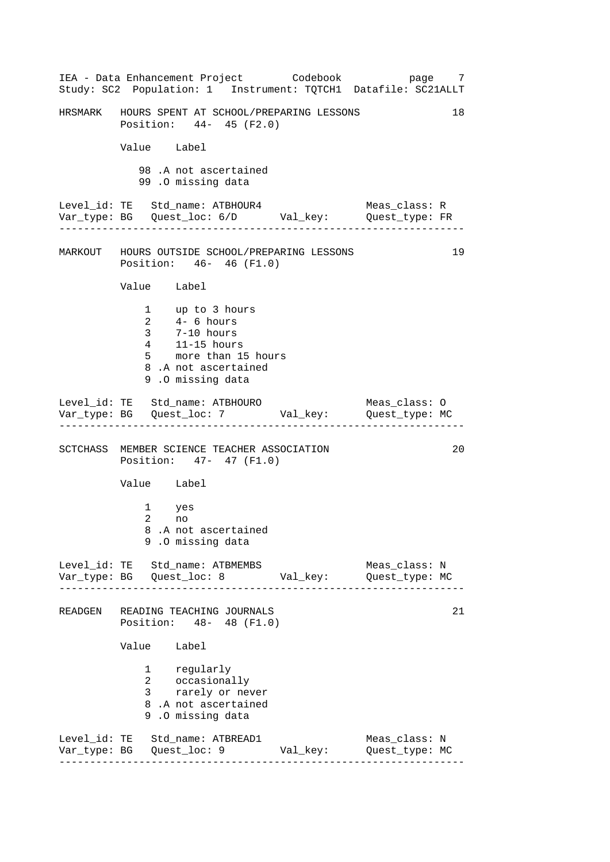------------------------------------------------------------------ ------------------------------------------------------------------ ------------------------------------------------------------------ ------------------------------------------------------------------ IEA - Data Enhancement Project Codebook page 7 Study: SC2 Population: 1 Instrument: TQTCH1 Datafile: SC21ALLT HRSMARK HOURS SPENT AT SCHOOL/PREPARING LESSONS 18 Position: 44- 45 (F2.0) Value Label 98 .A not ascertained 99 .O missing data Level\_id: TE Std\_name: ATBHOUR4 Meas\_class: R Var\_type: BG Quest\_loc: 6/D Val\_key: Quest\_type: FR MARKOUT HOURS OUTSIDE SCHOOL/PREPARING LESSONS 19 Position: 46- 46 (F1.0) Value Label 1 up to 3 hours 2 4- 6 hours 3 7-10 hours 4 11-15 hours 5 more than 15 hours 8 .A not ascertained 9 .O missing data Level\_id: TE Std\_name: ATBHOURO Meas\_class: 0 Var\_type: BG Quest\_loc: 7 Val\_key: Quest\_type: MC SCTCHASS MEMBER SCIENCE TEACHER ASSOCIATION 20 Position: 47- 47 (F1.0) Value Label 1 yes 2 no 8 .A not ascertained 9 .O missing data Level\_id: TE Std\_name: ATBMEMBS Meas\_class: N Var\_type: BG Quest\_loc: 8 Val\_key: Quest\_type: MC READGEN READING TEACHING JOURNALS 21 Position: 48- 48 (F1.0) Value Label 1 regularly 2 occasionally 3 rarely or never 8 .A not ascertained 9 .O missing data Level\_id: TE Std\_name: ATBREAD1 Meas\_class: N Var\_type: BG Quest\_loc: 9 Val\_key: Quest\_type: MC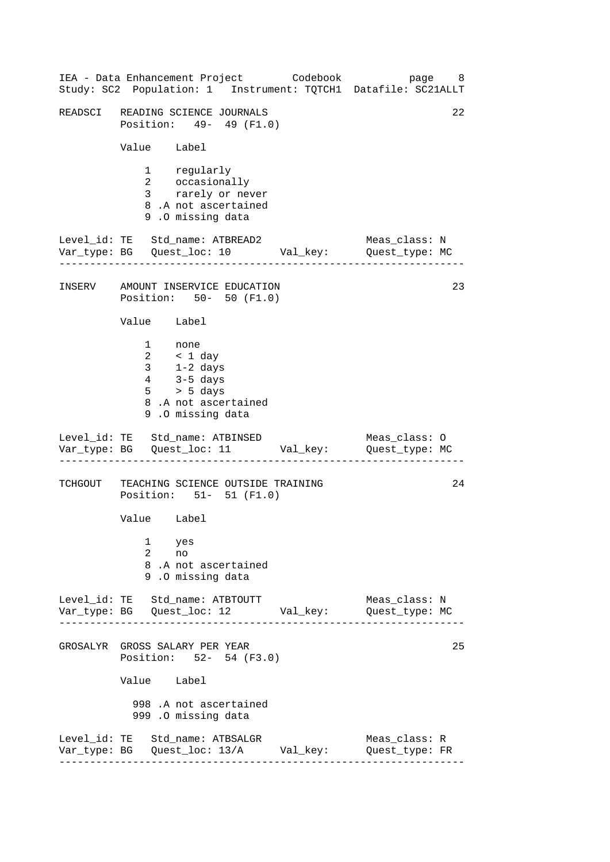------------------------------------------------------------------ ------------------------------------------------------------------ ------------------------------------------------------------------ ------------------------------------------------------------------ IEA - Data Enhancement Project Codebook page 8 Study: SC2 Population: 1 Instrument: TQTCH1 Datafile: SC21ALLT READSCI READING SCIENCE JOURNALS 22 Position: 49- 49 (F1.0) Value Label 1 regularly 2 occasionally 3 rarely or never 8 .A not ascertained 9 .O missing data Level\_id: TE Std\_name: ATBREAD2 Meas\_class: N Var\_type: BG Quest\_loc: 10 Val\_key: Quest\_type: MC INSERV AMOUNT INSERVICE EDUCATION 23 Position: 50- 50 (F1.0) Value Label 1 none 2 < 1 day 3 1-2 days 4 3-5 days 5 > 5 days 8 .A not ascertained 9 .O missing data Level\_id: TE Std\_name: ATBINSED Meas\_class: 0 Var\_type: BG Quest\_loc: 11 Val\_key: Quest\_type: MC TCHGOUT TEACHING SCIENCE OUTSIDE TRAINING 24 Position: 51- 51 (F1.0) Value Label 1 yes 2 no 8 .A not ascertained 9 .O missing data Level\_id: TE Std\_name: ATBTOUTT Meas\_class: N Var\_type: BG Quest\_loc: 12 Val\_key: Quest\_type: MC GROSALYR GROSS SALARY PER YEAR 25 Position: 52- 54 (F3.0) Value Label 998 .A not ascertained 999 .O missing data Level\_id: TE Std\_name: ATBSALGR Meas\_class: R Var\_type: BG Quest\_loc: 13/A Val\_key: Quest\_type: FR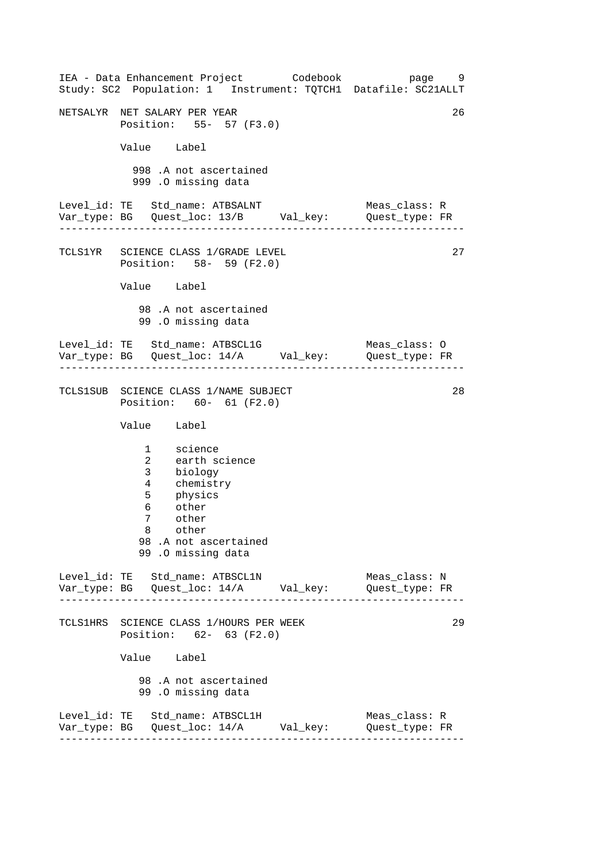------------------------------------------------------------------ ------------------------------------------------------------------ ------------------------------------------------------------------ ------------------------------------------------------------------ IEA - Data Enhancement Project Codebook page 9 Study: SC2 Population: 1 Instrument: TQTCH1 Datafile: SC21ALLT NETSALYR NET SALARY PER YEAR 26 Position: 55- 57 (F3.0) Value Label 998 .A not ascertained 999 .O missing data Level\_id: TE Std\_name: ATBSALNT Meas\_class: R Var\_type: BG Quest\_loc: 13/B Val\_key: Quest\_type: FR TCLS1YR SCIENCE CLASS 1/GRADE LEVEL Position: 58- 59 (F2.0) Value Label 98 .A not ascertained 99 .O missing data Level\_id: TE Std\_name: ATBSCL1G Meas\_class: 0 Var\_type: BG Quest\_loc: 14/A Val\_key: Quest\_type: FR TCLS1SUB SCIENCE CLASS 1/NAME SUBJECT Position: 60- 61 (F2.0) Value Label 1 science 2 earth science 3 biology 4 chemistry 5 physics 6 other 7 other 8 other 98 .A not ascertained 99 .O missing data Level\_id: TE Std\_name: ATBSCL1N Meas\_class: N Var\_type: BG Quest\_loc: 14/A Val\_key: Quest\_type: FR TCLS1HRS SCIENCE CLASS 1/HOURS PER WEEK Position: 62- 63 (F2.0) Value Label 98 .A not ascertained 99 .O missing data Level\_id: TE Std\_name: ATBSCL1H Meas\_class: R Var\_type: BG Quest\_loc: 14/A Val\_key: Quest\_type: FR 27 28 29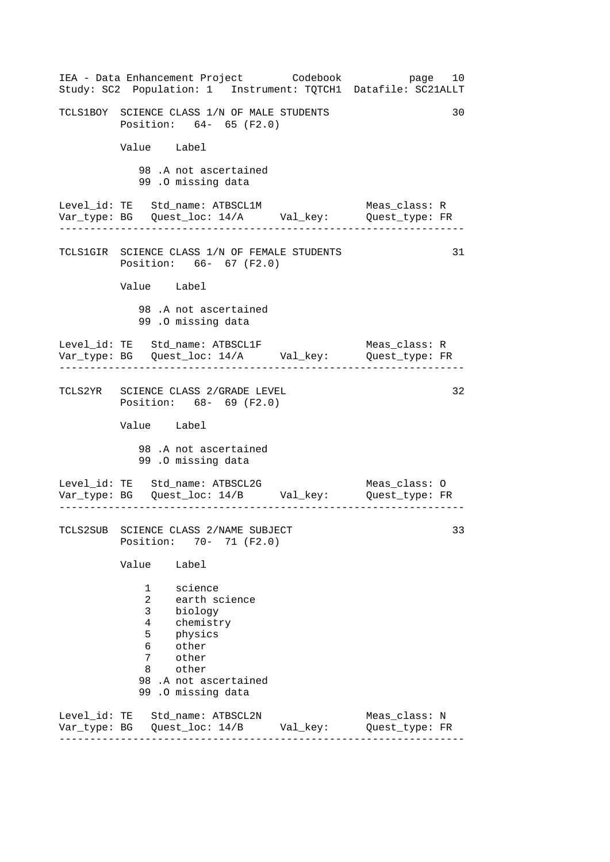| IEA - Data Enhancement Project Codebook<br>Study: SC2 Population: 1 Instrument: TQTCH1 Datafile: SC21ALLT                                                                        | page 10                         |
|----------------------------------------------------------------------------------------------------------------------------------------------------------------------------------|---------------------------------|
| TCLS1BOY SCIENCE CLASS 1/N OF MALE STUDENTS<br>Position: 64- 65 (F2.0)                                                                                                           | 30                              |
| Value Label                                                                                                                                                                      |                                 |
| 98.A not ascertained<br>99.0 missing data                                                                                                                                        |                                 |
| Level_id: TE Std_name: ATBSCL1M<br>Var_type: BG Quest_loc: 14/A Val_key: Quest_type: FR                                                                                          | Meas_class: R                   |
| TCLS1GIR SCIENCE CLASS 1/N OF FEMALE STUDENTS<br>Position: 66- 67 (F2.0)                                                                                                         | 31                              |
| Value Label                                                                                                                                                                      |                                 |
| 98 .A not ascertained<br>99.0 missing data                                                                                                                                       |                                 |
| Level_id: TE Std_name: ATBSCL1F<br>Var_type: BG    Quest_loc: 14/A    Val_key:    Quest_type: FR<br>. Le celes de la calendaria de la                                            | Meas class: R                   |
| TCLS2YR SCIENCE CLASS 2/GRADE LEVEL<br>Position: 68- 69 (F2.0)                                                                                                                   | 32                              |
| Value Label                                                                                                                                                                      |                                 |
| 98.A not ascertained<br>99.0 missing data                                                                                                                                        |                                 |
| Level_id: TE Std_name: ATBSCL2G<br>Var_type: BG    Quest_loc: 14/B    Val_key:    Quest_type: FR                                                                                 | Meas_class: O                   |
| TCLS2SUB SCIENCE CLASS 2/NAME SUBJECT<br>Position:<br>$70 - 71$ (F2.0)                                                                                                           | 33                              |
| Value<br>Label                                                                                                                                                                   |                                 |
| 1<br>science<br>2<br>earth science<br>3<br>biology<br>4<br>chemistry<br>5<br>physics<br>other<br>6<br>7<br>other<br>other<br>8<br>98 .A not ascertained<br>.0 missing data<br>99 |                                 |
| Level_id: TE Std_name: ATBSCL2N<br>Var_type: BG    Quest_loc: 14/B    Val_key:                                                                                                   | Meas_class: N<br>Quest_type: FR |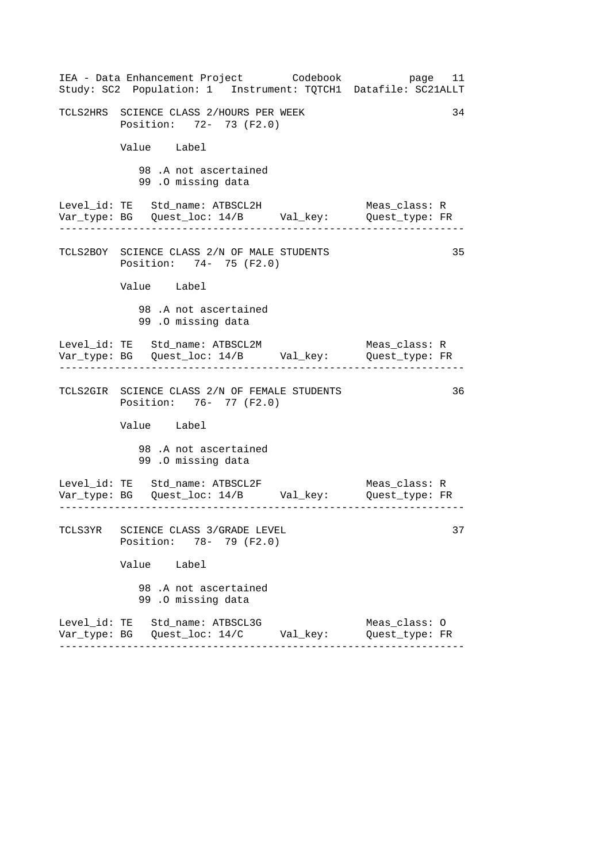| IEA - Data Enhancement Project Codebook<br>Study: SC2 Population: 1 Instrument: TQTCH1 Datafile: SC21ALLT | page 11                         |
|-----------------------------------------------------------------------------------------------------------|---------------------------------|
| TCLS2HRS SCIENCE CLASS 2/HOURS PER WEEK<br>Position: 72- 73 (F2.0)                                        | 34                              |
| Value Label                                                                                               |                                 |
| 98.A not ascertained<br>99.0 missing data                                                                 |                                 |
| Level_id: TE Std_name: ATBSCL2H<br>Var_type: BG    Quest_loc: 14/B    Val_key:    Quest_type: FR          | Meas_class: R                   |
| TCLS2BOY SCIENCE CLASS 2/N OF MALE STUDENTS<br>Position: 74- 75 (F2.0)                                    | 35                              |
| Value Label                                                                                               |                                 |
| 98.A not ascertained<br>99.0 missing data                                                                 |                                 |
| Level_id: TE Std_name: ATBSCL2M<br>Var_type: BG    Quest_loc: 14/B    Val_key:    Quest_type: FR          | Meas_class: R                   |
| TCLS2GIR SCIENCE CLASS 2/N OF FEMALE STUDENTS<br>Position: 76- 77 (F2.0)                                  | 36                              |
| Value Label                                                                                               |                                 |
| 98.A not ascertained<br>99.0 missing data                                                                 |                                 |
| $\frac{1}{2}$                                                                                             |                                 |
| TCLS3YR SCIENCE CLASS 3/GRADE LEVEL<br>Position: 78- 79 (F2.0)                                            | 37                              |
| Value Label                                                                                               |                                 |
| 98 .A not ascertained<br>99.0 missing data                                                                |                                 |
| Level_id: TE Std_name: ATBSCL3G                                                                           | Meas_class: 0<br>Quest_type: FR |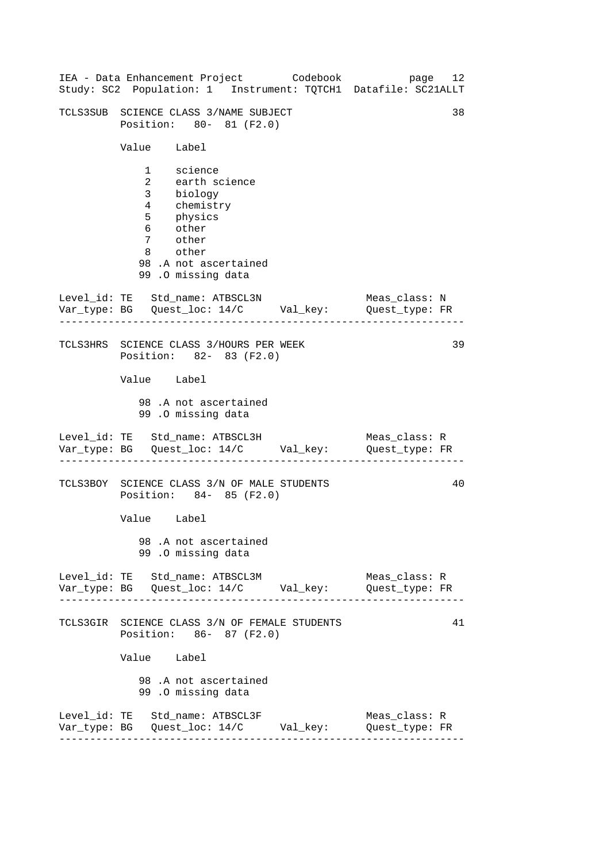|                                            | IEA - Data Enhancement Project Codebook<br>Study: SC2 Population: 1 Instrument: TQTCH1 Datafile: SC21ALLT |                                 | page 12 |
|--------------------------------------------|-----------------------------------------------------------------------------------------------------------|---------------------------------|---------|
|                                            | TCLS3SUB SCIENCE CLASS 3/NAME SUBJECT<br>Position: 80- 81 (F2.0)                                          |                                 | 38      |
| Value Label                                |                                                                                                           |                                 |         |
| 5 physics<br>6 other<br>7 other<br>8 other | 1 science<br>2 earth science<br>3 biology<br>4 chemistry<br>98.A not ascertained<br>99.0 missing data     |                                 |         |
|                                            | Level_id: TE Std_name: ATBSCL3N<br>Var_type: BG    Quest_loc: 14/C    Val_key:    Quest_type: FR          | Meas_class: N                   |         |
|                                            | TCLS3HRS SCIENCE CLASS 3/HOURS PER WEEK<br>Position: 82- 83 (F2.0)                                        |                                 | 39      |
| Value Label                                | 98.A not ascertained                                                                                      |                                 |         |
|                                            | 99.0 missing data                                                                                         |                                 |         |
|                                            | Level_id: TE Std_name: ATBSCL3H<br>Var_type: BG    Quest_loc: 14/C    Val_key:    Quest_type: FR          | Meas_class: R                   |         |
|                                            | TCLS3BOY SCIENCE CLASS 3/N OF MALE STUDENTS<br>Position: 84- 85 (F2.0)                                    |                                 | 40      |
| Value Label                                |                                                                                                           |                                 |         |
|                                            | 98.A not ascertained<br>99.0 missing data                                                                 |                                 |         |
|                                            | Level_id: TE Std_name: ATBSCL3M<br>Var_type: BG    Quest_loc: 14/C    Val_key:    Quest_type: FR          | Meas_class: R                   |         |
|                                            | TCLS3GIR SCIENCE CLASS 3/N OF FEMALE STUDENTS<br>Position: 86- 87 (F2.0)                                  |                                 | 41      |
| Value Label                                |                                                                                                           |                                 |         |
|                                            | 98.A not ascertained<br>99.0 missing data                                                                 |                                 |         |
|                                            | Level_id: TE Std_name: ATBSCL3F<br>Var_type: BG    Quest_loc: 14/C    Val_key:                            | Meas_class: R<br>Quest_type: FR |         |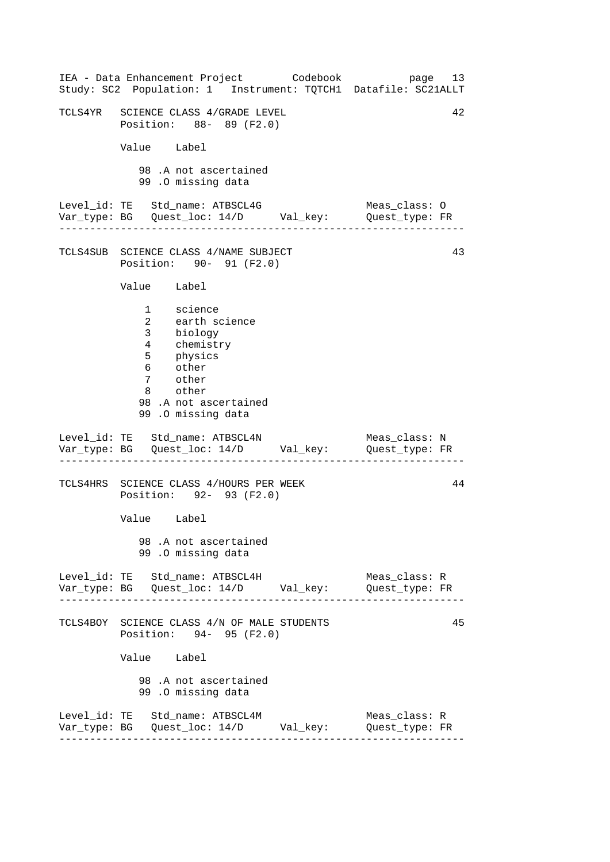| IEA - Data Enhancement Project Codebook<br>Study: SC2 Population: 1 Instrument: TQTCH1 Datafile: SC21ALLT                                           | page 13                         |
|-----------------------------------------------------------------------------------------------------------------------------------------------------|---------------------------------|
| TCLS4YR SCIENCE CLASS 4/GRADE LEVEL<br>Position: 88- 89 (F2.0)                                                                                      | 42                              |
| Value Label                                                                                                                                         |                                 |
| 98.A not ascertained<br>99.0 missing data                                                                                                           |                                 |
|                                                                                                                                                     |                                 |
| TCLS4SUB SCIENCE CLASS 4/NAME SUBJECT<br>Position: 90- 91 (F2.0)                                                                                    | 43                              |
| Value Label                                                                                                                                         |                                 |
| 1 science<br>2 earth science<br>3 biology<br>4 chemistry<br>5 physics<br>6 other<br>7 other<br>8 other<br>98.A not ascertained<br>99.0 missing data |                                 |
| Level_id: TE Std_name: ATBSCL4N<br>Var_type: BG    Quest_loc: 14/D    Val_key:    Quest_type: FR                                                    | Meas_class: N                   |
| TCLS4HRS SCIENCE CLASS 4/HOURS PER WEEK<br>Position: 92- 93 (F2.0)                                                                                  | 44                              |
| Value Label                                                                                                                                         |                                 |
| 98.A not ascertained<br>99.0 missing data                                                                                                           |                                 |
| Level_id: TE Std_name: ATBSCL4H<br>Var_type: BG    Quest_loc: 14/D    Val_key:    Quest_type: FR                                                    | Meas_class: R                   |
| TCLS4BOY SCIENCE CLASS 4/N OF MALE STUDENTS<br>Position: 94- 95 (F2.0)                                                                              | 45                              |
| Value Label                                                                                                                                         |                                 |
| 98 .A not ascertained<br>99.0 missing data                                                                                                          |                                 |
| Level_id: TE Std_name: ATBSCL4M                                                                                                                     | Meas_class: R<br>Quest_type: FR |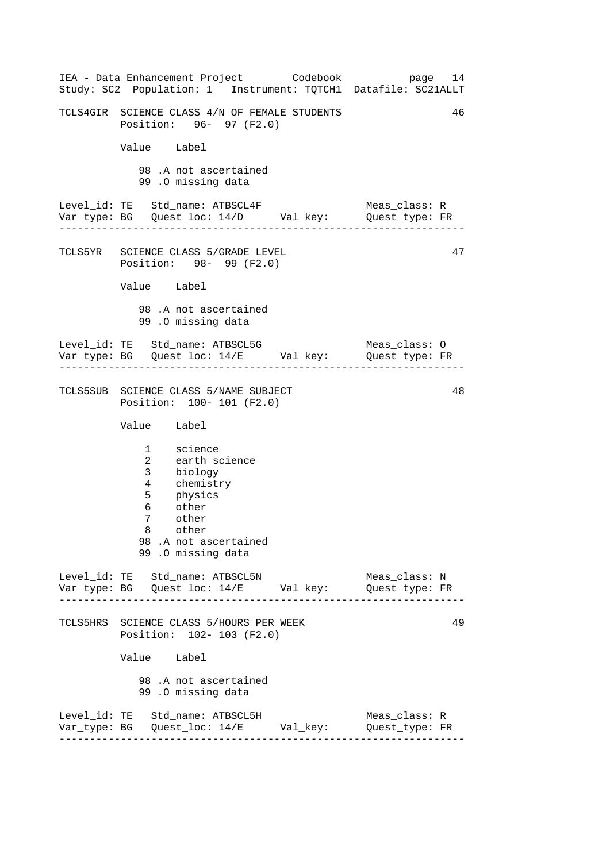------------------------------------------------------------------ ------------------------------------------------------------------ ------------------------------------------------------------------ ------------------------------------------------------------------ IEA - Data Enhancement Project Codebook page 14 Study: SC2 Population: 1 Instrument: TQTCH1 Datafile: SC21ALLT TCLS4GIR SCIENCE CLASS 4/N OF FEMALE STUDENTS 46 Position: 96- 97 (F2.0) Value Label 98 .A not ascertained 99 .O missing data Level\_id: TE Std\_name: ATBSCL4F Meas\_class: R Var\_type: BG Quest\_loc: 14/D Val\_key: Quest\_type: FR TCLS5YR SCIENCE CLASS 5/GRADE LEVEL Position: 98- 99 (F2.0) Value Label 98 .A not ascertained 99 .O missing data Level\_id: TE Std\_name: ATBSCL5G Meas\_class: O Var\_type: BG Quest\_loc: 14/E Val\_key: Quest\_type: FR TCLS5SUB SCIENCE CLASS 5/NAME SUBJECT Position: 100- 101 (F2.0) Value Label 1 science 2 earth science 3 biology 4 chemistry 5 physics 6 other 7 other 8 other 98 .A not ascertained 99 .O missing data Level\_id: TE Std\_name: ATBSCL5N Meas\_class: N Var\_type: BG Quest\_loc: 14/E Val\_key: Quest\_type: FR TCLS5HRS SCIENCE CLASS 5/HOURS PER WEEK Position: 102- 103 (F2.0) Value Label 98 .A not ascertained 99 .O missing data Level\_id: TE Std\_name: ATBSCL5H Meas\_class: R Var\_type: BG Quest\_loc: 14/E Val\_key: Quest\_type: FR 47 48 49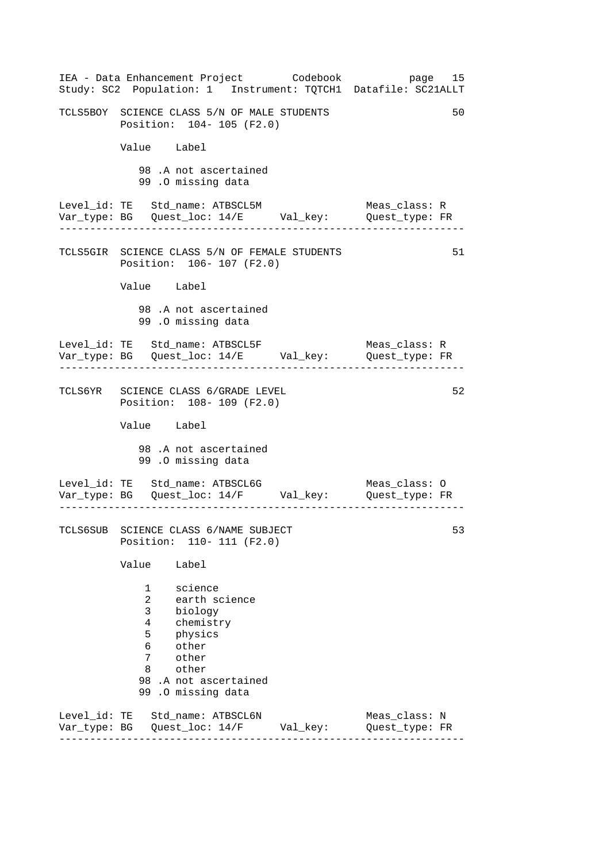|              | IEA - Data Enhancement Project Codebook<br>Study: SC2 Population: 1 Instrument: TQTCH1 Datafile: SC21ALLT                                                                    |          | page 15                         |
|--------------|------------------------------------------------------------------------------------------------------------------------------------------------------------------------------|----------|---------------------------------|
|              | TCLS5BOY SCIENCE CLASS 5/N OF MALE STUDENTS<br>Position: 104- 105 (F2.0)                                                                                                     |          | 50                              |
|              | Value Label                                                                                                                                                                  |          |                                 |
|              | 98.A not ascertained<br>99 .0 missing data                                                                                                                                   |          |                                 |
|              | Level_id: TE Std_name: ATBSCL5M                                                                                                                                              |          | Meas_class: R                   |
|              | TCLS5GIR SCIENCE CLASS 5/N OF FEMALE STUDENTS<br>Position: 106- 107 (F2.0)                                                                                                   |          | 51                              |
|              | Value Label                                                                                                                                                                  |          |                                 |
|              | 98.A not ascertained<br>99 .0 missing data                                                                                                                                   |          |                                 |
|              | Level_id: TE Std_name: ATBSCL5F<br>Var_type: BG    Quest_loc: 14/E    Val_key:    Quest_type: FR                                                                             |          | Meas_class: R                   |
|              | TCLS6YR SCIENCE CLASS 6/GRADE LEVEL<br>Position: 108- 109 (F2.0)                                                                                                             |          | 52                              |
|              | Value Label                                                                                                                                                                  |          |                                 |
|              | 98 .A not ascertained<br>99.0 missing data                                                                                                                                   |          |                                 |
|              | Level_id: TE Std_name: ATBSCL6G<br>Var_type: BG    Quest_loc: 14/F    Val_key:    Quest_type: FR<br><u>.</u>                                                                 |          | Meas_class: O                   |
|              | TCLS6SUB SCIENCE CLASS 6/NAME SUBJECT<br>Position: 110- 111 (F2.0)                                                                                                           |          | 53                              |
|              | Value<br>Label                                                                                                                                                               |          |                                 |
|              | science<br>1<br>2<br>earth science<br>3<br>biology<br>4<br>chemistry<br>5<br>physics<br>6<br>other<br>7<br>other<br>other<br>8<br>98 .A not ascertained<br>99.0 missing data |          |                                 |
| Var_type: BG | Level_id: TE Std_name: ATBSCL6N<br>Quest_loc: 14/F                                                                                                                           | Val_key: | Meas_class: N<br>Quest_type: FR |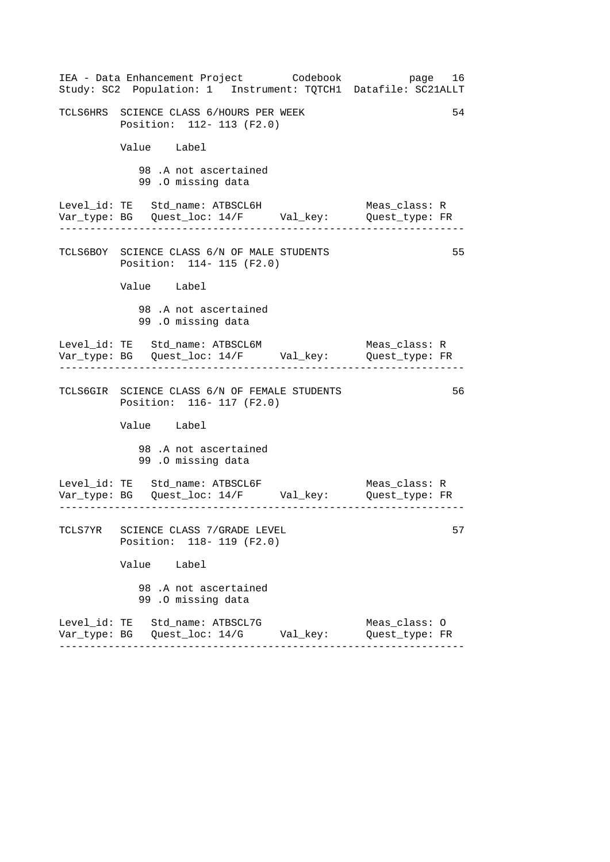| IEA - Data Enhancement Project Codebook<br>Study: SC2 Population: 1 Instrument: TQTCH1 Datafile: SC21ALLT | page 16                                           |
|-----------------------------------------------------------------------------------------------------------|---------------------------------------------------|
| TCLS6HRS SCIENCE CLASS 6/HOURS PER WEEK<br>Position: 112- 113 (F2.0)                                      | 54                                                |
| Value Label                                                                                               |                                                   |
| 98.A not ascertained<br>99.0 missing data                                                                 |                                                   |
| Level_id: TE Std_name: ATBSCL6H<br>Var_type: BG    Quest_loc: 14/F    Val_key:    Quest_type: FR          | Meas class: R                                     |
| TCLS6BOY SCIENCE CLASS 6/N OF MALE STUDENTS<br>Position: 114- 115 (F2.0)                                  | 55                                                |
| Value Label                                                                                               |                                                   |
| 98.A not ascertained<br>99.0 missing data                                                                 |                                                   |
| Level_id: TE Std_name: ATBSCL6M<br>Var_type: BG    Quest_loc: 14/F    Val_key:    Quest_type: FR          | Meas_class: R<br>. Lie Lie Lie Lie Lie Lie Lie Li |
| TCLS6GIR SCIENCE CLASS 6/N OF FEMALE STUDENTS<br>Position: 116- 117 (F2.0)                                | 56                                                |
| Value Label                                                                                               |                                                   |
| 98.A not ascertained<br>99.0 missing data                                                                 |                                                   |
| Level_id: TE Std_name: ATBSCL6F<br>Var_type: BG    Quest_loc: 14/F    Val_key:    Quest_type: FR          | Meas_class: R                                     |
| TCLS7YR SCIENCE CLASS 7/GRADE LEVEL<br>Position: 118- 119 (F2.0)                                          | 57                                                |
| Value Label                                                                                               |                                                   |
| 98 .A not ascertained<br>99.0 missing data                                                                |                                                   |
| Level_id: TE Std_name: ATBSCL7G                                                                           | Meas_class: 0<br>Quest_type: FR                   |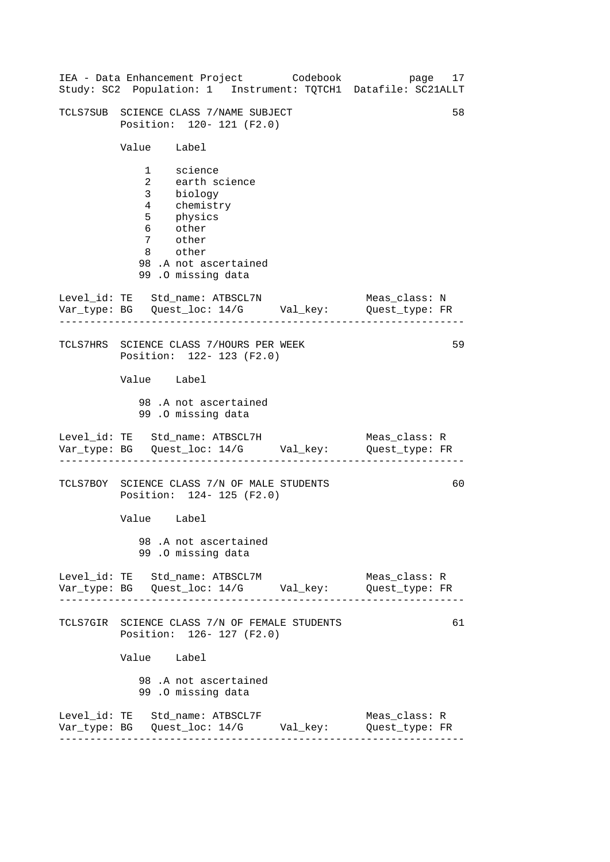| IEA - Data Enhancement Project Codebook<br>Study: SC2 Population: 1 Instrument: TQTCH1 Datafile: SC21ALLT                                           | page 17                         |
|-----------------------------------------------------------------------------------------------------------------------------------------------------|---------------------------------|
| TCLS7SUB SCIENCE CLASS 7/NAME SUBJECT<br>Position: 120- 121 (F2.0)                                                                                  | 58                              |
| Value Label                                                                                                                                         |                                 |
| 1 science<br>2 earth science<br>3 biology<br>4 chemistry<br>5 physics<br>6 other<br>7 other<br>8 other<br>98.A not ascertained<br>99.0 missing data |                                 |
| Level_id: TE Std_name: ATBSCL7N<br>Var_type: BG    Quest_loc: 14/G    Val_key:    Quest_type: FR                                                    | Meas class: N                   |
| TCLS7HRS SCIENCE CLASS 7/HOURS PER WEEK<br>Position: 122- 123 (F2.0)                                                                                | 59                              |
| Value Label                                                                                                                                         |                                 |
| 98.A not ascertained<br>99.0 missing data                                                                                                           |                                 |
| Level_id: TE Std_name: ATBSCL7H<br>Var_type: BG    Quest_loc: 14/G    Val_key:    Quest_type: FR                                                    | Meas_class: R                   |
| TCLS7BOY SCIENCE CLASS 7/N OF MALE STUDENTS<br>Position: 124- 125 (F2.0)                                                                            | 60                              |
| Value Label                                                                                                                                         |                                 |
| 98.A not ascertained<br>99.0 missing data                                                                                                           |                                 |
| Level_id: TE Std_name: ATBSCL7M<br>Var_type: BG    Quest_loc: 14/G    Val_key:    Quest_type: FR                                                    | Meas_class: R                   |
| TCLS7GIR SCIENCE CLASS 7/N OF FEMALE STUDENTS<br>Position: 126- 127 (F2.0)                                                                          | 61                              |
| Value Label                                                                                                                                         |                                 |
| 98.A not ascertained<br>99.0 missing data                                                                                                           |                                 |
| Level_id: TE Std_name: ATBSCL7F<br>Var_type: BG    Quest_loc: 14/G    Val_key:                                                                      | Meas_class: R<br>Quest_type: FR |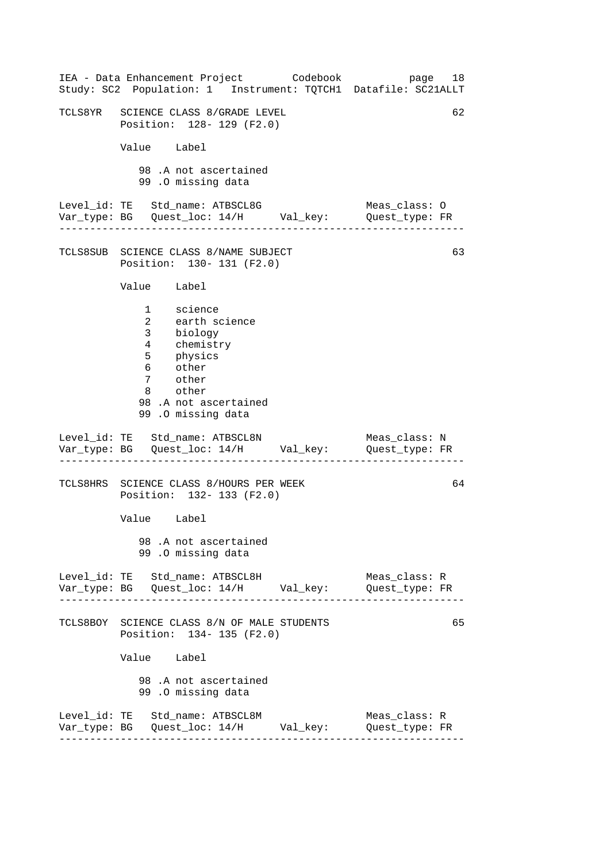| IEA - Data Enhancement Project Codebook<br>Study: SC2 Population: 1 Instrument: TQTCH1 Datafile: SC21ALLT                                                           | page 18                         |    |
|---------------------------------------------------------------------------------------------------------------------------------------------------------------------|---------------------------------|----|
| TCLS8YR SCIENCE CLASS 8/GRADE LEVEL<br>Position: 128- 129 (F2.0)                                                                                                    |                                 | 62 |
| Value Label                                                                                                                                                         |                                 |    |
| 98.A not ascertained<br>99.0 missing data                                                                                                                           |                                 |    |
|                                                                                                                                                                     |                                 |    |
| TCLS8SUB SCIENCE CLASS 8/NAME SUBJECT<br>Position: 130- 131 (F2.0)                                                                                                  |                                 | 63 |
| Value Label                                                                                                                                                         |                                 |    |
| 1 science<br>earth science<br>$\overline{2}$<br>3 biology<br>4 chemistry<br>5 physics<br>6 other<br>7 other<br>8 other<br>98.A not ascertained<br>99.0 missing data |                                 |    |
| Level_id: TE Std_name: ATBSCL8N<br>Var_type: BG    Quest_loc: 14/H    Val_key:    Quest_type: FR                                                                    | Meas_class: N                   |    |
| TCLS8HRS SCIENCE CLASS 8/HOURS PER WEEK<br>Position: 132- 133 (F2.0)                                                                                                |                                 | 64 |
| Value Label                                                                                                                                                         |                                 |    |
| 98.A not ascertained<br>99.0 missing data                                                                                                                           |                                 |    |
| Level_id: TE Std_name: ATBSCL8H                                                                                                                                     | Meas_class: R<br>Quest_type: FR |    |
| TCLS8BOY SCIENCE CLASS 8/N OF MALE STUDENTS<br>Position: 134- 135 (F2.0)                                                                                            |                                 | 65 |
| Value Label                                                                                                                                                         |                                 |    |
| 98 .A not ascertained<br>99.0 missing data                                                                                                                          |                                 |    |
| Level_id: TE Std_name: ATBSCL8M                                                                                                                                     | Meas_class: R<br>Quest_type: FR |    |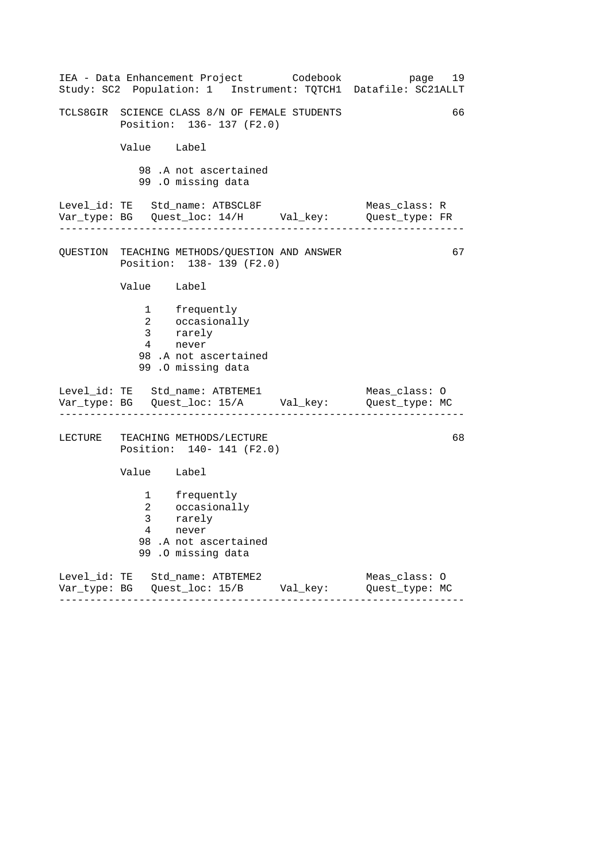| IEA - Data Enhancement Project Codebook<br>Study: SC2 Population: 1 Instrument: TQTCH1 Datafile: SC21ALLT | page 19       |
|-----------------------------------------------------------------------------------------------------------|---------------|
| TCLS8GIR SCIENCE CLASS 8/N OF FEMALE STUDENTS<br>Position: 136- 137 (F2.0)                                | 66            |
| Value Label                                                                                               |               |
| 98.A not ascertained<br>99.0 missing data                                                                 |               |
| Level_id: TE Std_name: ATBSCL8F<br>Var_type: BG    Quest_loc: 14/H    Val_key:    Quest_type: FR          | Meas_class: R |
| QUESTION TEACHING METHODS/QUESTION AND ANSWER<br>Position: 138- 139 (F2.0)                                | 67            |
| Value Label                                                                                               |               |
| 1 frequently<br>2 occasionally<br>3 rarely<br>4 never<br>98.A not ascertained<br>99 .O missing data       |               |
| Level_id: TE Std_name: ATBTEME1<br>Var_type: BG    Quest_loc: 15/A    Val_key:    Quest_type: MC          | Meas_class: O |
| LECTURE TEACHING METHODS/LECTURE<br>Position: 140- 141 (F2.0)                                             | 68            |
| Value Label                                                                                               |               |
| 1 frequently<br>2 occasionally<br>3 rarely<br>4 never<br>98.A not ascertained<br>99 .0 missing data       |               |
| Level_id: TE Std_name: ATBTEME2<br>Var_type: BG    Quest_loc: 15/B    Val_key:    Quest_type: MC          | Meas_class: 0 |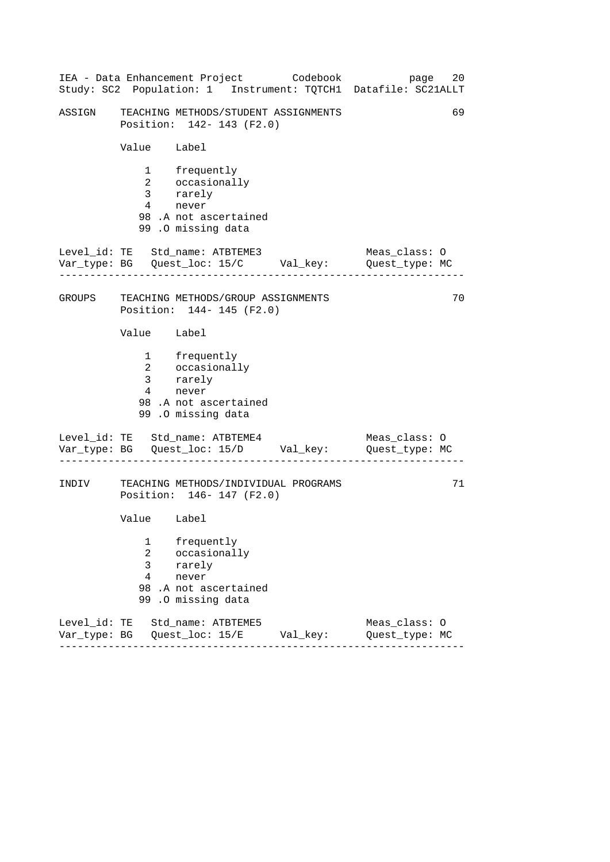|        |                                     | IEA - Data Enhancement Project Codebook                                                                     | 20<br>page<br>Study: SC2 Population: 1 Instrument: TQTCH1 Datafile: SC21ALLT |
|--------|-------------------------------------|-------------------------------------------------------------------------------------------------------------|------------------------------------------------------------------------------|
| ASSIGN |                                     | TEACHING METHODS/STUDENT ASSIGNMENTS<br>Position: 142- 143 (F2.0)                                           | 69                                                                           |
|        | Value Label                         |                                                                                                             |                                                                              |
|        | $4\overline{ }$                     | 1 frequently<br>2 occasionally<br>3 rarely<br>never<br>98.A not ascertained<br>99.0 missing data            |                                                                              |
|        |                                     | Level_id: TE Std_name: ATBTEME3<br>Var_type: BG    Quest_loc: 15/C    Val_key:    Quest_type: MC            | Meas_class: 0                                                                |
|        |                                     | GROUPS TEACHING METHODS/GROUP ASSIGNMENTS<br>Position: 144- 145 (F2.0)                                      | 70                                                                           |
|        | Value Label                         |                                                                                                             |                                                                              |
|        | 4                                   | 1 frequently<br>2 occasionally<br>3 rarely<br>4 novem<br>never<br>98.A not ascertained<br>99.0 missing data |                                                                              |
|        |                                     | Level_id: TE Std_name: ATBTEME4<br>Var_type: BG    Quest_loc: 15/D    Val_key:    Quest_type: MC            | Meas_class: O                                                                |
| INDIV  |                                     | TEACHING METHODS/INDIVIDUAL PROGRAMS<br>Position: 146- 147 (F2.0)                                           | 71                                                                           |
|        | Value Label                         |                                                                                                             |                                                                              |
|        | 1<br>2<br>3<br>$\overline{4}$<br>99 | frequently<br>occasionally<br>rarely<br>never<br>98.A not ascertained<br>.0 missing data                    |                                                                              |
|        |                                     | Level_id: TE Std_name: ATBTEME5<br>Var_type: BG    Quest_loc: 15/E    Val_key:                              | Meas_class: 0<br>Quest_type: MC                                              |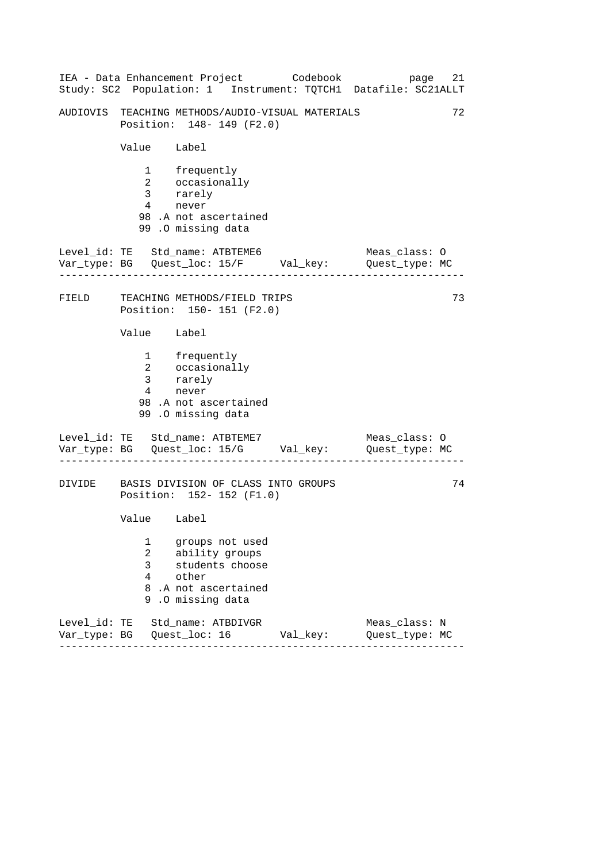|       |                                         | IEA - Data Enhancement Project Codebook                                                                | 21<br>page<br>Study: SC2 Population: 1 Instrument: TQTCH1 Datafile: SC21ALLT |
|-------|-----------------------------------------|--------------------------------------------------------------------------------------------------------|------------------------------------------------------------------------------|
|       |                                         | AUDIOVIS TEACHING METHODS/AUDIO-VISUAL MATERIALS<br>Position: 148- 149 (F2.0)                          | 72                                                                           |
|       | Value Label                             |                                                                                                        |                                                                              |
|       | $4\overline{ }$                         | 1 frequently<br>2 occasionally<br>3 rarely<br>never<br>98 .A not ascertained<br>99.0 missing data      |                                                                              |
|       | . _ _ _ _ _ _ _ _ _ _ _                 | Level_id: TE Std_name: ATBTEME6<br>Var_type: BG    Quest_loc: 15/F    Val_key:    Quest_type: MC       | Meas_class: O                                                                |
| FIELD |                                         | TEACHING METHODS/FIELD TRIPS<br>Position: 150- 151 (F2.0)                                              | 73                                                                           |
|       | Value Label                             |                                                                                                        |                                                                              |
|       | $\overline{4}$                          | 1 frequently<br>2 occasionally<br>3 rarely<br>never<br>98.A not ascertained<br>99.0 missing data       |                                                                              |
|       |                                         | Level_id: TE Std_name: ATBTEME7<br>Var_type: BG    Quest_loc: 15/G    Val_key:    Quest_type: MC       | Meas_class: 0                                                                |
|       |                                         | DIVIDE BASIS DIVISION OF CLASS INTO GROUPS<br>Position: 152- 152 (F1.0)                                | 74                                                                           |
|       | Value Label                             |                                                                                                        |                                                                              |
|       | 1<br>$\overline{a}$<br>3<br>4<br>8<br>9 | groups not used<br>ability groups<br>students choose<br>other<br>.A not ascertained<br>.0 missing data |                                                                              |
|       |                                         | Level_id: TE Std_name: ATBDIVGR<br>Var_type: BG    Quest_loc: 16    Val_key:                           | Meas_class: N<br>Quest_type: MC                                              |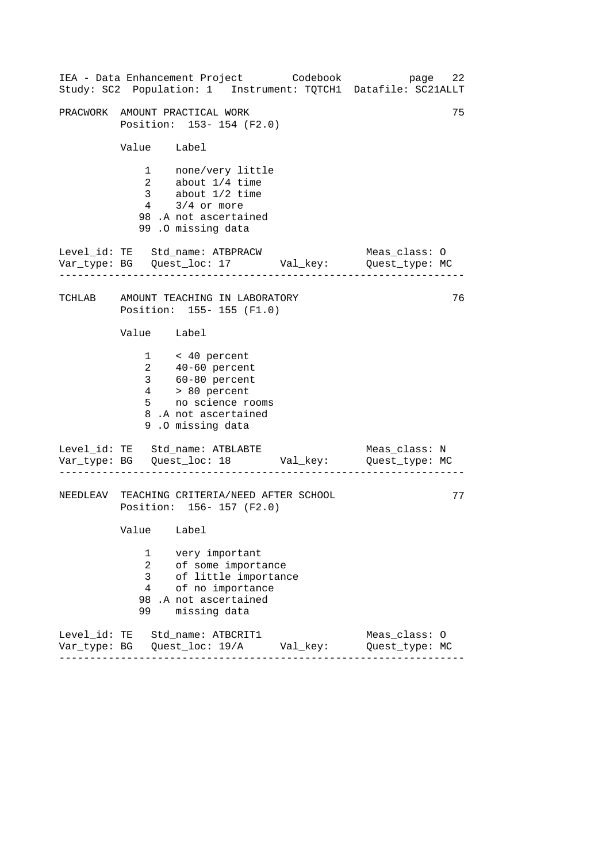|                                                  | IEA - Data Enhancement Project Codebook<br>Study: SC2 Population: 1 Instrument: TQTCH1 Datafile: SC21ALLT                                  | page 22                         |    |
|--------------------------------------------------|--------------------------------------------------------------------------------------------------------------------------------------------|---------------------------------|----|
|                                                  | PRACWORK AMOUNT PRACTICAL WORK<br>Position: 153-154 (F2.0)                                                                                 |                                 | 75 |
| Value Label                                      |                                                                                                                                            |                                 |    |
|                                                  | 1 none/very little<br>2 about 1/4 time<br>3 about 1/2 time<br>$4$ $3/4$ or more<br>98.A not ascertained<br>99.0 missing data               |                                 |    |
|                                                  | Level_id: TE Std_name: ATBPRACW<br>Var_type: BG    Quest_loc: 17    Val_key:    Quest_type: MC                                             | Meas_class: O                   |    |
|                                                  | TCHLAB AMOUNT TEACHING IN LABORATORY<br>Position: 155-155 (F1.0)                                                                           |                                 | 76 |
| Value Label                                      |                                                                                                                                            |                                 |    |
| $4\overline{ }$<br>5                             | $1 \times 40$ percent<br>2 40-60 percent<br>3 60-80 percent<br>> 80 percent<br>no science rooms<br>8.A not ascertained<br>9.0 missing data |                                 |    |
|                                                  | Level_id: TE Std_name: ATBLABTE<br>Var_type: BG    Quest_loc: 18    Val_key:    Quest_type: MC                                             | Meas_class: N                   |    |
|                                                  | NEEDLEAV TEACHING CRITERIA/NEED AFTER SCHOOL<br>Position: 156- 157 (F2.0)                                                                  |                                 | 77 |
| Value Label                                      |                                                                                                                                            |                                 |    |
| 1<br>$\overline{2}$<br>3<br>$\overline{4}$<br>99 | very important<br>of some importance<br>of little importance<br>of no importance<br>98 .A not ascertained<br>missing data                  |                                 |    |
|                                                  | Level_id: TE Std_name: ATBCRIT1                                                                                                            | Meas_class: 0<br>Quest_type: MC |    |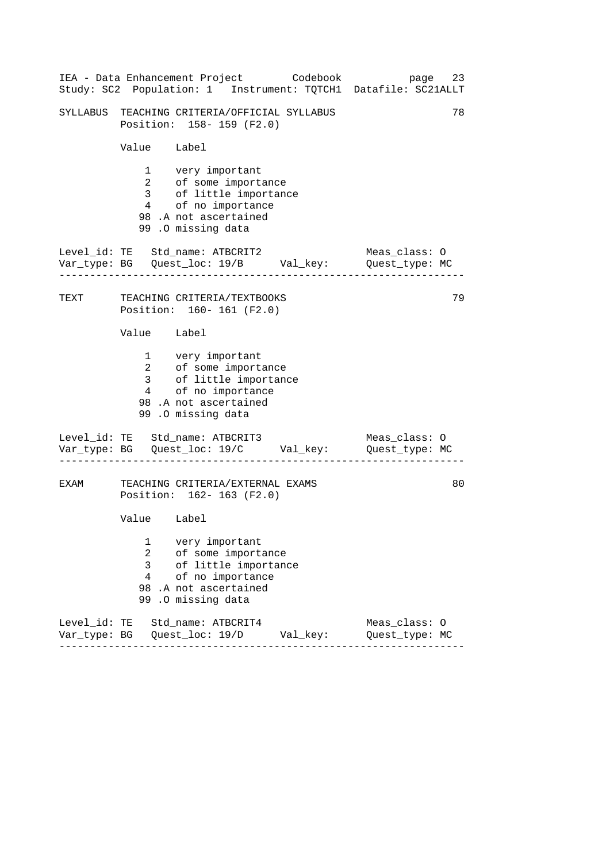|      |                                                  | IEA - Data Enhancement Project Codebook<br>Study: SC2 Population: 1 Instrument: TQTCH1 Datafile: SC21ALLT                              | 23<br>page                      |  |
|------|--------------------------------------------------|----------------------------------------------------------------------------------------------------------------------------------------|---------------------------------|--|
|      |                                                  | SYLLABUS TEACHING CRITERIA/OFFICIAL SYLLABUS<br>Position: 158-159 (F2.0)                                                               | 78                              |  |
|      | Value Label                                      |                                                                                                                                        |                                 |  |
|      |                                                  | 1 very important<br>2 of some importance<br>3 of little importance<br>4 of no importance<br>98.A not ascertained<br>99.0 missing data  |                                 |  |
|      |                                                  | Level_id: TE Std_name: ATBCRIT2<br>Var_type: BG    Quest_loc: 19/B    Val_key:    Quest_type: MC                                       | Meas_class: O                   |  |
|      |                                                  | TEXT TEACHING CRITERIA/TEXTBOOKS<br>Position: 160- 161 (F2.0)                                                                          | 79                              |  |
|      | Value Label                                      |                                                                                                                                        |                                 |  |
|      |                                                  | 1 very important<br>2 of some importance<br>3 of little importance<br>4 of no importance<br>98 .A not ascertained<br>99.0 missing data |                                 |  |
|      |                                                  | Level_id: TE Std_name: ATBCRIT3<br>Var_type: BG    Quest_loc: 19/C    Val_key:    Quest_type: MC                                       | Meas_class: 0                   |  |
| EXAM |                                                  | TEACHING CRITERIA/EXTERNAL EXAMS<br>Position: 162- 163 (F2.0)                                                                          | 80                              |  |
|      | Value Label                                      |                                                                                                                                        |                                 |  |
|      | 1<br>$\overline{2}$<br>3<br>$\overline{4}$<br>99 | very important<br>of some importance<br>of little importance<br>of no importance<br>98.A not ascertained<br>.0 missing data            |                                 |  |
|      |                                                  | Level_id: TE Std_name: ATBCRIT4                                                                                                        | Meas_class: 0<br>Quest_type: MC |  |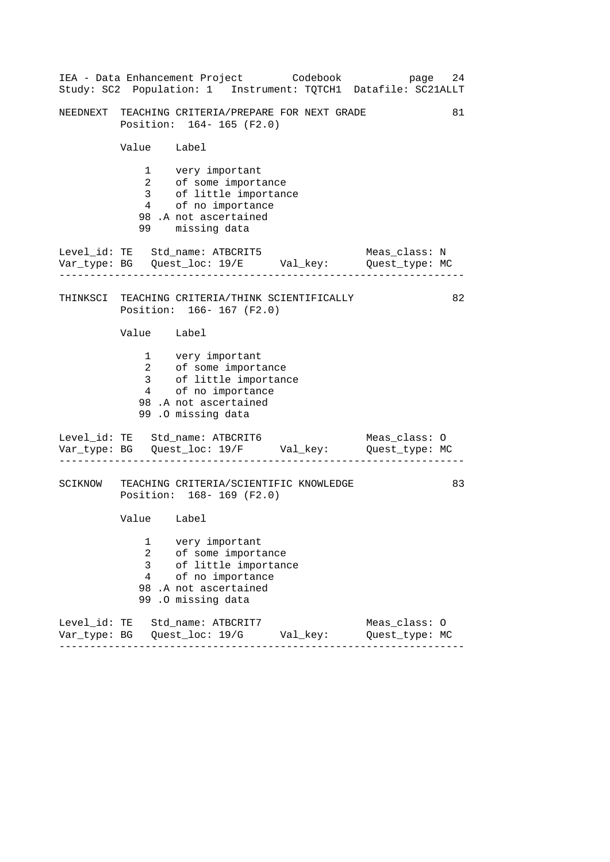|                               | IEA - Data Enhancement Project Codebook                                                                                                | 24<br>page<br>Study: SC2 Population: 1 Instrument: TQTCH1 Datafile: SC21ALLT |
|-------------------------------|----------------------------------------------------------------------------------------------------------------------------------------|------------------------------------------------------------------------------|
|                               | NEEDNEXT TEACHING CRITERIA/PREPARE FOR NEXT GRADE<br>Position: 164- 165 (F2.0)                                                         | 81                                                                           |
| Value Label                   |                                                                                                                                        |                                                                              |
| 99 —                          | 1 very important<br>2 of some importance<br>3 of little importance<br>4 of no importance<br>98.A not ascertained<br>missing data       |                                                                              |
|                               | Level_id: TE Std_name: ATBCRIT5<br>Var_type: BG    Quest_loc: 19/E    Val_key:    Quest_type: MC                                       | Meas_class: N                                                                |
|                               | THINKSCI TEACHING CRITERIA/THINK SCIENTIFICALLY<br>Position: 166- 167 (F2.0)                                                           | 82                                                                           |
| Value Label                   |                                                                                                                                        |                                                                              |
|                               | 1 very important<br>2 of some importance<br>3 of little importance<br>4 of no importance<br>98 .A not ascertained<br>99.0 missing data |                                                                              |
|                               | Level_id: TE Std_name: ATBCRIT6<br>Var_type: BG    Quest_loc: 19/F    Val_key:    Quest_type: MC                                       | Meas_class: O                                                                |
|                               | SCIKNOW TEACHING CRITERIA/SCIENTIFIC KNOWLEDGE<br>Position: 168-169 (F2.0)                                                             | 83                                                                           |
| Value Label                   |                                                                                                                                        |                                                                              |
| 1<br>2<br>3<br>$\overline{4}$ | very important<br>of some importance<br>of little importance<br>of no importance<br>98.A not ascertained<br>99.0 missing data          |                                                                              |
|                               | Level_id: TE Std_name: ATBCRIT7<br>Var_type: BG    Quest_loc: 19/G    Val_key:                                                         | Meas_class: 0<br>Quest_type: MC                                              |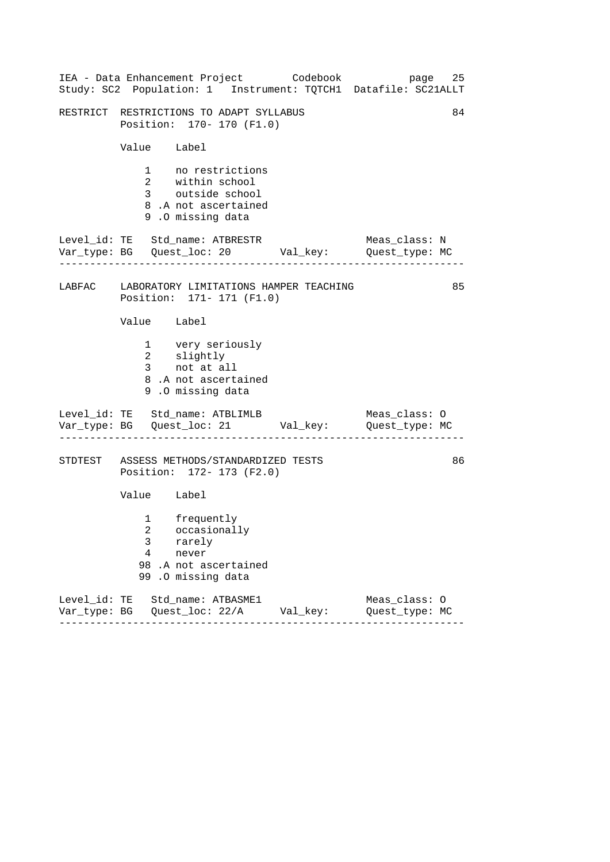|              | IEA - Data Enhancement Project Codebook<br>Study: SC2 Population: 1 Instrument: TQTCH1 Datafile: SC21ALLT |                                 | page 25 |
|--------------|-----------------------------------------------------------------------------------------------------------|---------------------------------|---------|
|              | RESTRICT RESTRICTIONS TO ADAPT SYLLABUS<br>Position: 170- 170 (F1.0)                                      |                                 | 84      |
|              | Value Label                                                                                               |                                 |         |
|              | 1 no restrictions<br>2 within school<br>3 outside school<br>8.A not ascertained<br>9.0 missing data       |                                 |         |
|              | Level_id: TE Std_name: ATBRESTR<br>Var_type: BG    Quest_loc: 20    Val_key:    Quest_type: MC            | Meas_class: N                   |         |
|              | LABFAC LABORATORY LIMITATIONS HAMPER TEACHING<br>Position: 171- 171 (F1.0)                                |                                 | 85      |
|              | Value Label                                                                                               |                                 |         |
|              | 1 very seriously<br>2 slightly<br>3 not at all<br>8.A not ascertained<br>9.0 missing data                 |                                 |         |
|              | Level_id: TE Std_name: ATBLIMLB<br>Var_type: BG    Quest_loc: 21    Val_key:    Quest_type: MC            | Meas_class: O                   |         |
|              | STDTEST ASSESS METHODS/STANDARDIZED TESTS<br>Position: 172- 173 (F2.0)                                    |                                 | 86      |
|              | Value Label                                                                                               |                                 |         |
| 3<br>4<br>99 | 1 frequently<br>2 occasionally<br>rarely<br>never<br>98.A not ascertained<br>.0 missing data              |                                 |         |
|              | Level_id: TE Std_name: ATBASME1<br>Var_type: BG    Quest_loc: 22/A    Val_key:<br>------                  | Meas_class: 0<br>Quest_type: MC |         |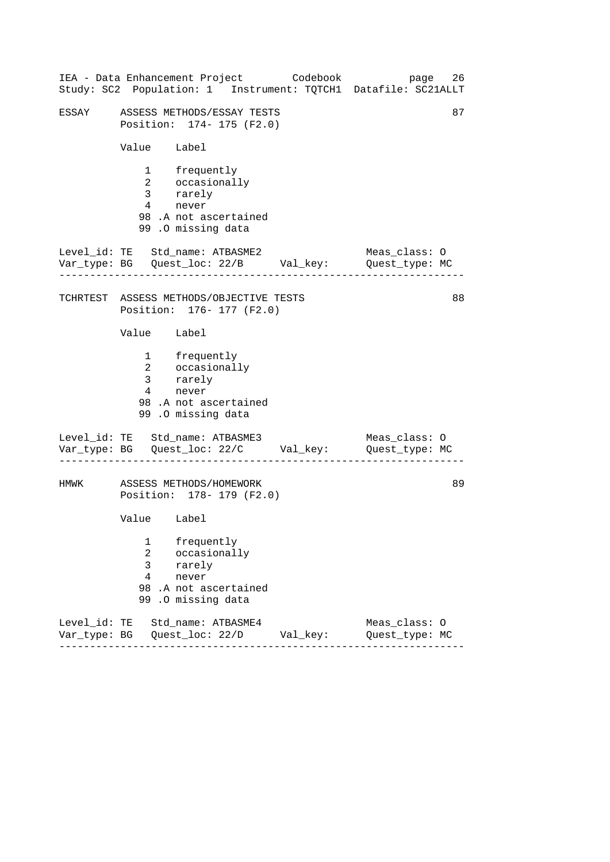|       |                                                       |                                                                                                     | IEA - Data Enhancement Project Codebook | 26<br>page<br>Study: SC2 Population: 1 Instrument: TQTCH1 Datafile: SC21ALLT   |
|-------|-------------------------------------------------------|-----------------------------------------------------------------------------------------------------|-----------------------------------------|--------------------------------------------------------------------------------|
| ESSAY |                                                       | ASSESS METHODS/ESSAY TESTS<br>Position: 174- 175 (F2.0)                                             |                                         | 87                                                                             |
|       | Value Label                                           |                                                                                                     |                                         |                                                                                |
|       | $4\degree$                                            | 1 frequently<br>2 occasionally<br>3 rarely<br>never<br>98.A not ascertained<br>99 .O missing data   |                                         |                                                                                |
|       |                                                       | Level_id: TE Std_name: ATBASME2                                                                     |                                         | Meas_class: O                                                                  |
|       |                                                       | TCHRTEST ASSESS METHODS/OBJECTIVE TESTS<br>Position: 176- 177 (F2.0)                                |                                         | 88                                                                             |
|       | Value Label                                           |                                                                                                     |                                         |                                                                                |
|       |                                                       | 1 frequently<br>2 occasionally<br>3 rarely<br>4 never<br>98 .A not ascertained<br>99.0 missing data |                                         |                                                                                |
|       |                                                       | Level_id: TE Std_name: ATBASME3                                                                     |                                         | Meas_class: O<br>Var_type: BG    Quest_loc: 22/C    Val_key:    Quest_type: MC |
| HMWK  |                                                       | ASSESS METHODS/HOMEWORK<br>Position: 178- 179 (F2.0)                                                |                                         | 89                                                                             |
|       | Value Label                                           |                                                                                                     |                                         |                                                                                |
|       | 1<br>$\overline{2}$<br>$\mathsf{3}$<br>$\overline{4}$ | frequently<br>occasionally<br>rarely<br>never<br>98.A not ascertained<br>99.0 missing data          |                                         |                                                                                |
|       |                                                       | Level_id: TE Std_name: ATBASME4                                                                     |                                         | Meas_class: 0<br>Quest_type: MC                                                |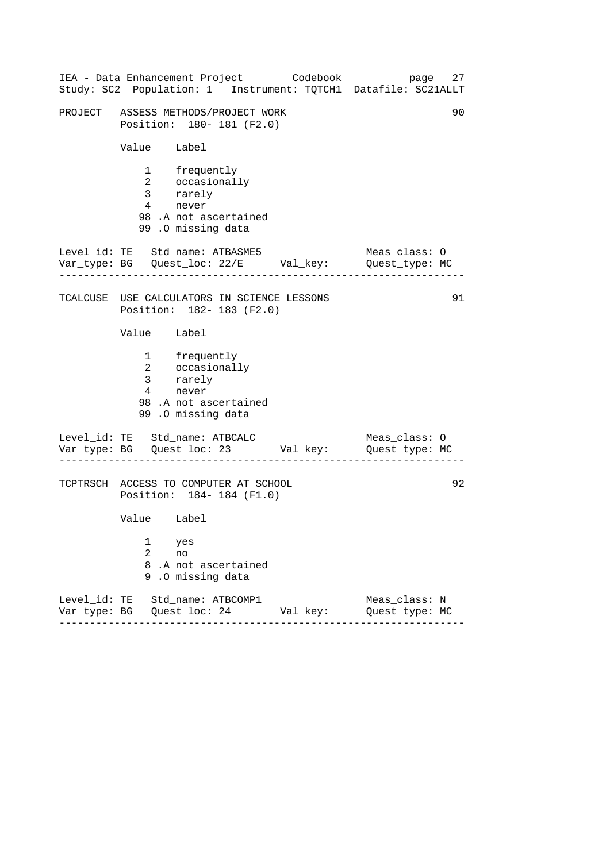------------------------------------------------------------------ ------------------------------------------------------------------ ------------------------------------------------------------------ IEA - Data Enhancement Project Codebook page 27 Study: SC2 Population: 1 Instrument: TQTCH1 Datafile: SC21ALLT PROJECT ASSESS METHODS/PROJECT WORK 90 Position: 180- 181 (F2.0) Value Label 1 frequently 2 occasionally 3 rarely 4 never 98 .A not ascertained 99 .O missing data Level\_id: TE Std\_name: ATBASME5 Meas\_class: 0 Var\_type: BG Quest\_loc: 22/E Val\_key: Quest\_type: MC TCALCUSE USE CALCULATORS IN SCIENCE LESSONS 91 Position: 182- 183 (F2.0) Value Label 1 frequently 2 occasionally 3 rarely 4 never 98 .A not ascertained 99 .O missing data Level\_id: TE Std\_name: ATBCALC Meas\_class: 0 Var\_type: BG Quest\_loc: 23 Val\_key: Quest\_type: MC TCPTRSCH ACCESS TO COMPUTER AT SCHOOL 92 Position: 184- 184 (F1.0) Value Label 1 yes 2 no 8 .A not ascertained 9 .O missing data Level\_id: TE Std\_name: ATBCOMP1 Meas\_class: N Var\_type: BG Quest\_loc: 24 Val\_key: Quest\_type: MC